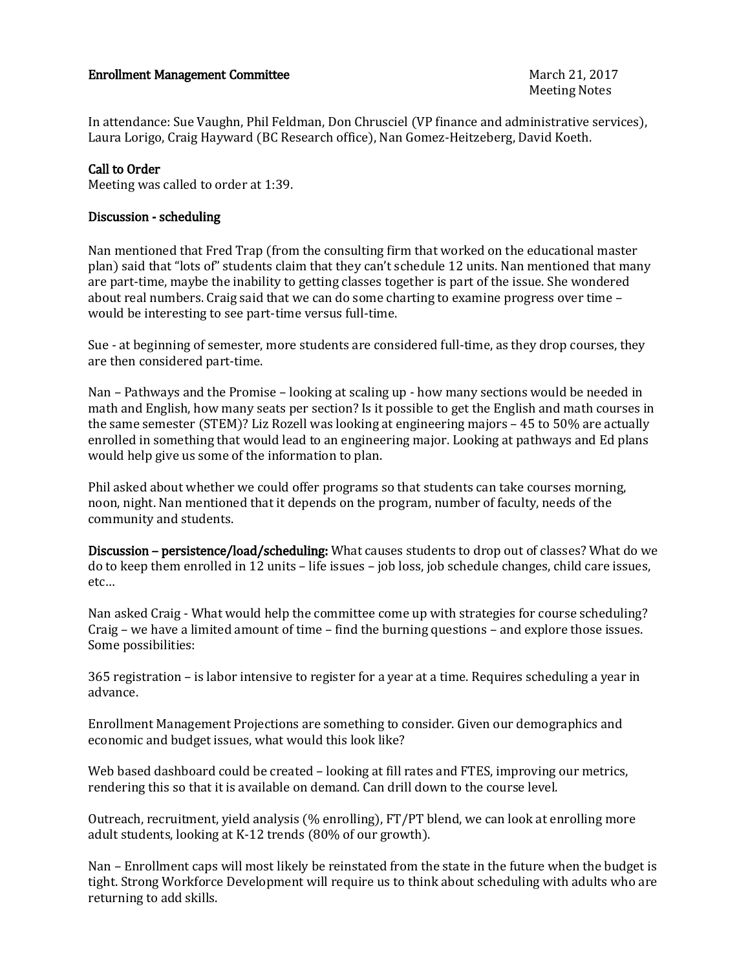## Enrollment Management Committee March 21, 2017

In attendance: Sue Vaughn, Phil Feldman, Don Chrusciel (VP finance and administrative services), Laura Lorigo, Craig Hayward (BC Research office), Nan Gomez-Heitzeberg, David Koeth.

## Call to Order

Meeting was called to order at 1:39.

## Discussion - scheduling

Nan mentioned that Fred Trap (from the consulting firm that worked on the educational master plan) said that "lots of" students claim that they can't schedule 12 units. Nan mentioned that many are part-time, maybe the inability to getting classes together is part of the issue. She wondered about real numbers. Craig said that we can do some charting to examine progress over time – would be interesting to see part-time versus full-time.

Sue - at beginning of semester, more students are considered full-time, as they drop courses, they are then considered part-time.

Nan – Pathways and the Promise – looking at scaling up - how many sections would be needed in math and English, how many seats per section? Is it possible to get the English and math courses in the same semester (STEM)? Liz Rozell was looking at engineering majors – 45 to 50% are actually enrolled in something that would lead to an engineering major. Looking at pathways and Ed plans would help give us some of the information to plan.

Phil asked about whether we could offer programs so that students can take courses morning, noon, night. Nan mentioned that it depends on the program, number of faculty, needs of the community and students.

Discussion – persistence/load/scheduling: What causes students to drop out of classes? What do we do to keep them enrolled in 12 units – life issues – job loss, job schedule changes, child care issues, etc…

Nan asked Craig - What would help the committee come up with strategies for course scheduling? Craig – we have a limited amount of time – find the burning questions – and explore those issues. Some possibilities:

365 registration – is labor intensive to register for a year at a time. Requires scheduling a year in advance.

Enrollment Management Projections are something to consider. Given our demographics and economic and budget issues, what would this look like?

Web based dashboard could be created – looking at fill rates and FTES, improving our metrics, rendering this so that it is available on demand. Can drill down to the course level.

Outreach, recruitment, yield analysis (% enrolling), FT/PT blend, we can look at enrolling more adult students, looking at K-12 trends (80% of our growth).

Nan – Enrollment caps will most likely be reinstated from the state in the future when the budget is tight. Strong Workforce Development will require us to think about scheduling with adults who are returning to add skills.